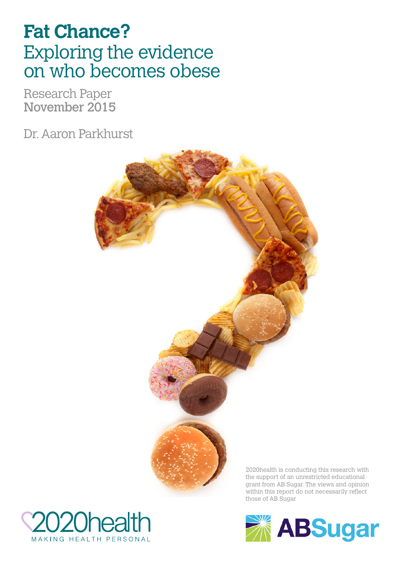# **Fat Chance?** Exploring the evidence on who becomes obese

Research Paper November 2015

Dr. Aaron Parkhurst





**ABSugar**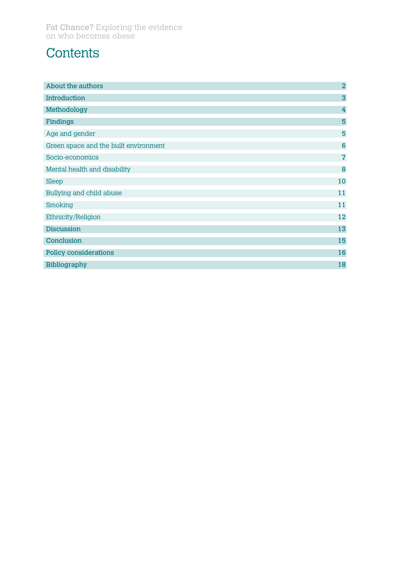## **Contents**

| About the authors                     | $\overline{2}$          |
|---------------------------------------|-------------------------|
| <b>Introduction</b>                   | $\overline{\mathbf{3}}$ |
| Methodology                           | $\overline{4}$          |
| Findings                              | 5                       |
| Age and gender                        | 5                       |
| Green space and the built environment | $6\phantom{1}6$         |
| Socio-economics                       | $\overline{\mathbf{z}}$ |
| Mental health and disability          | 8                       |
| <b>Sleep</b>                          | 10                      |
| Bullying and child abuse              | 11                      |
| Smoking                               | 11                      |
| Ethnicity/Religion                    | 12                      |
| <b>Discussion</b>                     | 13                      |
| Conclusion                            | 15                      |
| <b>Policy considerations</b>          | 16                      |
| <b>Bibliography</b>                   | 18                      |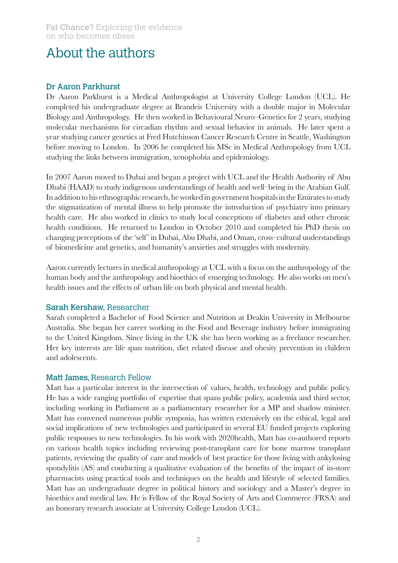## About the authors

#### Dr Aaron Parkhurst

Dr Aaron Parkhurst is a Medical Anthropologist at University College London (UCL). He completed his undergraduate degree at Brandeis University with a double major in Molecular Biology and Anthropology. He then worked in Behavioural Neuro–Genetics for 2 years, studying molecular mechanisms for circadian rhythm and sexual behavior in animals. He later spent a year studying cancer genetics at Fred Hutchinson Cancer Research Centre in Seattle, Washington before moving to London. In 2006 he completed his MSc in Medical Anthropology from UCL studying the links between immigration, xenophobia and epidemiology.

In 2007 Aaron moved to Dubai and began a project with UCL and the Health Authority of Abu Dhabi (HAAD) to study indigenous understandings of health and well–being in the Arabian Gulf. In addition to his ethnographic research, he worked in government hospitals in the Emirates to study the stigmatization of mental illness to help promote the introduction of psychiatry into primary health care. He also worked in clinics to study local conceptions of diabetes and other chronic health conditions. He returned to London in October 2010 and completed his PhD thesis on changing perceptions of the 'self' in Dubai, Abu Dhabi, and Oman, cross-cultural understandings of biomedicine and genetics, and humanity's anxieties and struggles with modernity.

Aaron currently lectures in medical anthropology at UCL with a focus on the anthropology of the human body and the anthropology and bioethics of emerging technology. He also works on men's health issues and the effects of urban life on both physical and mental health.

#### Sarah Kershaw, Researcher

Sarah completed a Bachelor of Food Science and Nutrition at Deakin University in Melbourne Australia. She began her career working in the Food and Beverage industry before immigrating to the United Kingdom. Since living in the UK she has been working as a freelance researcher. Her key interests are life span nutrition, diet related disease and obesity prevention in children and adolescents.

#### Matt James, Research Fellow

Matt has a particular interest in the intersection of values, health, technology and public policy. He has a wide ranging portfolio of expertise that spans public policy, academia and third sector, including working in Parliament as a parliamentary researcher for a MP and shadow minister. Matt has convened numerous public symposia, has written extensively on the ethical, legal and social implications of new technologies and participated in several EU funded projects exploring public responses to new technologies. In his work with 2020health, Matt has co-authored reports on various health topics including reviewing post-transplant care for bone marrow transplant patients, reviewing the quality of care and models of best practice for those living with ankylosing spondylitis (AS) and conducting a qualitative evaluation of the benefits of the impact of in-store pharmacists using practical tools and techniques on the health and lifestyle of selected families. Matt has an undergraduate degree in political history and sociology and a Master's degree in bioethics and medical law. He is Fellow of the Royal Society of Arts and Commerce (FRSA) and an honorary research associate at University College London (UCL).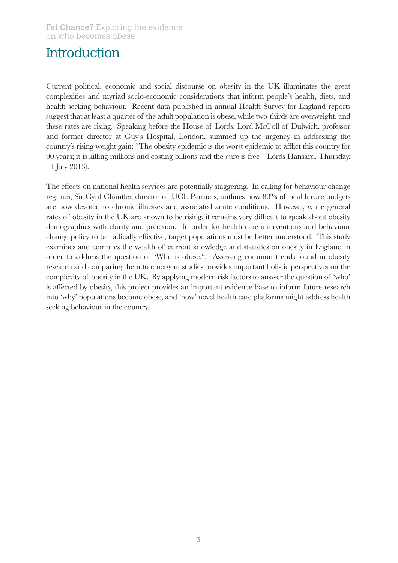## **Introduction**

Current political, economic and social discourse on obesity in the UK illuminates the great complexities and myriad socio-economic considerations that inform people's health, diets, and health seeking behaviour. Recent data published in annual Health Survey for England reports suggest that at least a quarter of the adult population is obese, while two-thirds are overweight, and these rates are rising. Speaking before the House of Lords, Lord McColl of Dulwich, professor and former director at Guy's Hospital, London, summed up the urgency in addressing the country's rising weight gain: "The obesity epidemic is the worst epidemic to afflict this country for 90 years; it is killing millions and costing billions and the cure is free" (Lords Hansard, Thursday, 11 July 2013).

The effects on national health services are potentially staggering. In calling for behaviour change regimes, Sir Cyril Chantler, director of UCL Partners, outlines how 80% of health care budgets are now devoted to chronic illnesses and associated acute conditions. However, while general rates of obesity in the UK are known to be rising, it remains very difficult to speak about obesity demographics with clarity and precision. In order for health care interventions and behaviour change policy to be radically effective, target populations must be better understood. This study examines and compiles the wealth of current knowledge and statistics on obesity in England in order to address the question of 'Who is obese?'. Assessing common trends found in obesity research and comparing them to emergent studies provides important holistic perspectives on the complexity of obesity in the UK. By applying modern risk factors to answer the question of 'who' is affected by obesity, this project provides an important evidence base to inform future research into 'why' populations become obese, and 'how' novel health care platforms might address health seeking behaviour in the country.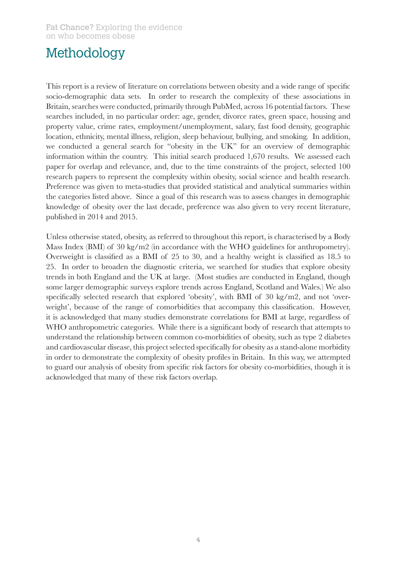## Methodology

This report is a review of literature on correlations between obesity and a wide range of specific socio-demographic data sets. In order to research the complexity of these associations in Britain, searches were conducted, primarily through PubMed, across 16 potential factors. These searches included, in no particular order: age, gender, divorce rates, green space, housing and property value, crime rates, employment/unemployment, salary, fast food density, geographic location, ethnicity, mental illness, religion, sleep behaviour, bullying, and smoking. In addition, we conducted a general search for "obesity in the UK" for an overview of demographic information within the country. This initial search produced 1,670 results. We assessed each paper for overlap and relevance, and, due to the time constraints of the project, selected 100 research papers to represent the complexity within obesity, social science and health research. Preference was given to meta-studies that provided statistical and analytical summaries within the categories listed above. Since a goal of this research was to assess changes in demographic knowledge of obesity over the last decade, preference was also given to very recent literature, published in 2014 and 2015.

Unless otherwise stated, obesity, as referred to throughout this report, is characterised by a Body Mass Index (BMI) of 30 kg/m2 (in accordance with the WHO guidelines for anthropometry). Overweight is classified as a BMI of 25 to 30, and a healthy weight is classified as 18.5 to 25. In order to broaden the diagnostic criteria, we searched for studies that explore obesity trends in both England and the UK at large. (Most studies are conducted in England, though some larger demographic surveys explore trends across England, Scotland and Wales.) We also specifically selected research that explored 'obesity', with BMI of 30 kg/m2, and not 'overweight', because of the range of comorbidities that accompany this classification. However, it is acknowledged that many studies demonstrate correlations for BMI at large, regardless of WHO anthropometric categories. While there is a significant body of research that attempts to understand the relationship between common co-morbidities of obesity, such as type 2 diabetes and cardiovascular disease, this project selected specifically for obesity as a stand-alone morbidity in order to demonstrate the complexity of obesity profiles in Britain. In this way, we attempted to guard our analysis of obesity from specific risk factors for obesity co-morbidities, though it is acknowledged that many of these risk factors overlap.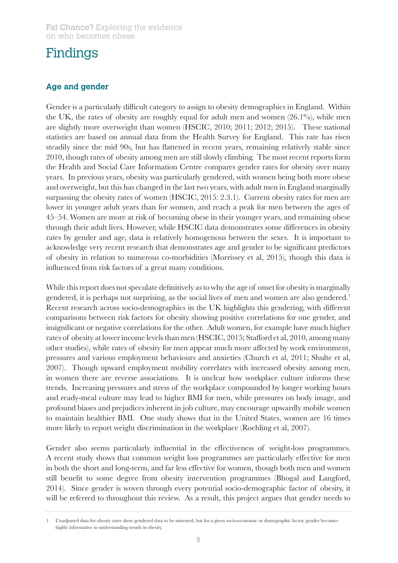#### **Age and gender**

Gender is a particularly difficult category to assign to obesity demographics in England. Within the UK, the rates of obesity are roughly equal for adult men and women (26.1%), while men are slightly more overweight than women (HSCIC, 2010; 2011; 2012; 2015). These national statistics are based on annual data from the Health Survey for England. This rate has risen steadily since the mid 90s, but has flattened in recent years, remaining relatively stable since 2010, though rates of obesity among men are still slowly climbing. The most recent reports form the Health and Social Care Information Centre compares gender rates for obesity over many years. In previous years, obesity was particularly gendered, with women being both more obese and overweight, but this has changed in the last two years, with adult men in England marginally surpassing the obesity rates of women (HSCIC, 2015: 2.3.1). Current obesity rates for men are lower in younger adult years than for women, and reach a peak for men between the ages of 45–54. Women are more at risk of becoming obese in their younger years, and remaining obese through their adult lives. However, while HSCIC data demonstrates some differences in obesity rates by gender and age, data is relatively homogenous between the sexes. It is important to acknowledge very recent research that demonstrates age and gender to be significant predictors of obesity in relation to numerous co-morbidities (Morrissey et al, 2015), though this data is influenced from risk factors of a great many conditions.

While this report does not speculate definitively as to why the age of onset for obesity is marginally gendered, it is perhaps not surprising, as the social lives of men and women are also gendered.<sup>1</sup> Recent research across socio-demographics in the UK highlights this gendering, with different comparisons between risk factors for obesity showing positive correlations for one gender, and insignificant or negative correlations for the other. Adult women, for example have much higher rates of obesity at lower income levels than men (HSCIC, 2015; Stafford et al, 2010, among many other studies), while rates of obesity for men appear much more affected by work environment, pressures and various employment behaviours and anxieties (Church et al, 2011; Shulte et al, 2007). Though upward employment mobility correlates with increased obesity among men, in women there are reverse associations. It is unclear how workplace culture informs these trends. Increasing pressures and stress of the workplace compounded by longer working hours and ready-meal culture may lead to higher BMI for men, while pressures on body image, and profound biases and prejudices inherent in job culture, may encourage upwardly mobile women to maintain healthier BMI. One study shows that in the United States, women are 16 times more likely to report weight discrimination in the workplace (Roehling et al, 2007).

Gender also seems particularly influential in the effectiveness of weight-loss programmes. A recent study shows that common weight loss programmes are particularly effective for men in both the short and long-term, and far less effective for women, though both men and women still benefit to some degree from obesity intervention programmes (Bhogal and Langford, 2014). Since gender is woven through every potential socio-demographic factor of obesity, it will be referred to throughout this review. As a result, this project argues that gender needs to

<sup>1.</sup> Unadjusted data for obesity rates show gendered data to be mirrored, but for a given socio-economic or demographic factor, gender becomes highly informative in understanding trends in obesity.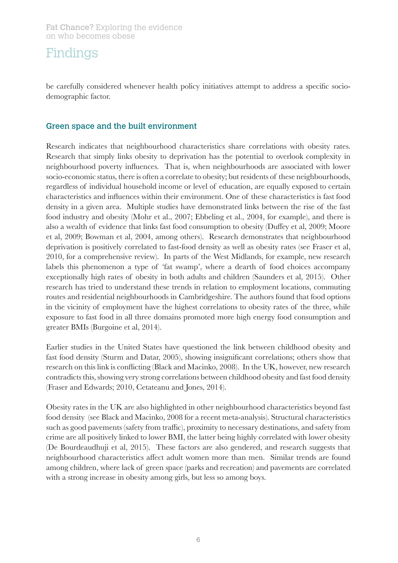be carefully considered whenever health policy initiatives attempt to address a specific sociodemographic factor.

#### Green space and the built environment

Research indicates that neighbourhood characteristics share correlations with obesity rates. Research that simply links obesity to deprivation has the potential to overlook complexity in neighbourhood poverty influences. That is, when neighbourhoods are associated with lower socio-economic status, there is often a correlate to obesity; but residents of these neighbourhoods, regardless of individual household income or level of education, are equally exposed to certain characteristics and influences within their environment. One of these characteristics is fast food density in a given area. Multiple studies have demonstrated links between the rise of the fast food industry and obesity (Mohr et al., 2007; Ebbeling et al., 2004, for example), and there is also a wealth of evidence that links fast food consumption to obesity (Duffey et al, 2009; Moore et al, 2009; Bowman et al, 2004, among others). Research demonstrates that neighbourhood deprivation is positively correlated to fast-food density as well as obesity rates (see Fraser et al, 2010, for a comprehensive review). In parts of the West Midlands, for example, new research labels this phenomenon a type of 'fat swamp', where a dearth of food choices accompany exceptionally high rates of obesity in both adults and children (Saunders et al, 2015). Other research has tried to understand these trends in relation to employment locations, commuting routes and residential neighbourhoods in Cambridgeshire. The authors found that food options in the vicinity of employment have the highest correlations to obesity rates of the three, while exposure to fast food in all three domains promoted more high energy food consumption and greater BMIs (Burgoine et al, 2014).

Earlier studies in the United States have questioned the link between childhood obesity and fast food density (Sturm and Datar, 2005), showing insignificant correlations; others show that research on this link is conflicting (Black and Macinko, 2008). In the UK, however, new research contradicts this, showing very strong correlations between childhood obesity and fast food density (Fraser and Edwards; 2010, Cetateanu and Jones, 2014).

Obesity rates in the UK are also highlighted in other neighbourhood characteristics beyond fast food density (see Black and Macinko, 2008 for a recent meta-analysis). Structural characteristics such as good pavements (safety from traffic), proximity to necessary destinations, and safety from crime are all positively linked to lower BMI, the latter being highly correlated with lower obesity (De Bourdeaudhuji et al, 2015). These factors are also gendered, and research suggests that neighbourhood characteristics affect adult women more than men. Similar trends are found among children, where lack of green space (parks and recreation) and pavements are correlated with a strong increase in obesity among girls, but less so among boys.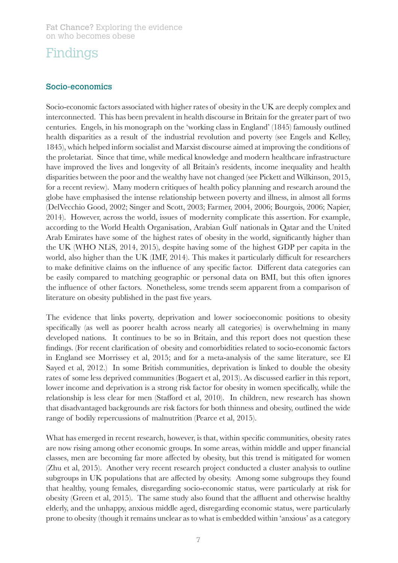#### Socio-economics

Socio-economic factors associated with higher rates of obesity in the UK are deeply complex and interconnected. This has been prevalent in health discourse in Britain for the greater part of two centuries. Engels, in his monograph on the 'working class in England' (1845) famously outlined health disparities as a result of the industrial revolution and poverty (see Engels and Kelley, 1845), which helped inform socialist and Marxist discourse aimed at improving the conditions of the proletariat. Since that time, while medical knowledge and modern healthcare infrastructure have improved the lives and longevity of all Britain's residents, income inequality and health disparities between the poor and the wealthy have not changed (see Pickett and Wilkinson, 2015, for a recent review). Many modern critiques of health policy planning and research around the globe have emphasised the intense relationship between poverty and illness, in almost all forms (DelVecchio Good, 2002; Singer and Scott, 2003; Farmer, 2004, 2006; Bourgois, 2006; Napier, 2014). However, across the world, issues of modernity complicate this assertion. For example, according to the World Health Organisation, Arabian Gulf nationals in Qatar and the United Arab Emirates have some of the highest rates of obesity in the world, significantly higher than the UK (WHO NLiS, 2014, 2015), despite having some of the highest GDP per capita in the world, also higher than the UK (IMF, 2014). This makes it particularly difficult for researchers to make definitive claims on the influence of any specific factor. Different data categories can be easily compared to matching geographic or personal data on BMI, but this often ignores the influence of other factors. Nonetheless, some trends seem apparent from a comparison of literature on obesity published in the past five years.

The evidence that links poverty, deprivation and lower socioeconomic positions to obesity specifically (as well as poorer health across nearly all categories) is overwhelming in many developed nations. It continues to be so in Britain, and this report does not question these findings. (For recent clarification of obesity and comorbidities related to socio-economic factors in England see Morrissey et al, 2015; and for a meta-analysis of the same literature, see El Sayed et al, 2012.) In some British communities, deprivation is linked to double the obesity rates of some less deprived communities (Bogaert et al, 2013). As discussed earlier in this report, lower income and deprivation is a strong risk factor for obesity in women specifically, while the relationship is less clear for men (Stafford et al, 2010). In children, new research has shown that disadvantaged backgrounds are risk factors for both thinness and obesity, outlined the wide range of bodily repercussions of malnutrition (Pearce et al, 2015).

What has emerged in recent research, however, is that, within specific communities, obesity rates are now rising among other economic groups. In some areas, within middle and upper financial classes, men are becoming far more affected by obesity, but this trend is mitigated for women (Zhu et al, 2015). Another very recent research project conducted a cluster analysis to outline subgroups in UK populations that are affected by obesity. Among some subgroups they found that healthy, young females, disregarding socio-economic status, were particularly at risk for obesity (Green et al, 2015). The same study also found that the affluent and otherwise healthy elderly, and the unhappy, anxious middle aged, disregarding economic status, were particularly prone to obesity (though it remains unclear as to what is embedded within 'anxious' as a category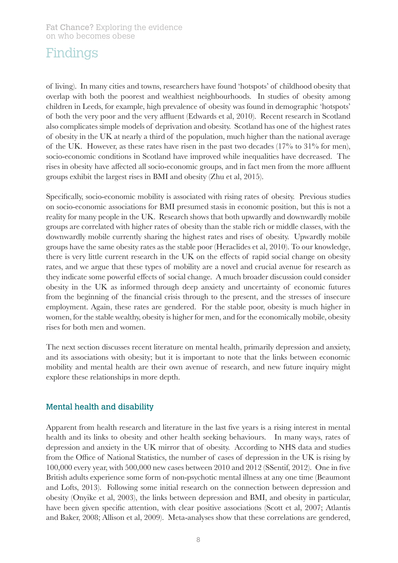of living). In many cities and towns, researchers have found 'hotspots' of childhood obesity that overlap with both the poorest and wealthiest neighbourhoods. In studies of obesity among children in Leeds, for example, high prevalence of obesity was found in demographic 'hotspots' of both the very poor and the very affluent (Edwards et al, 2010). Recent research in Scotland also complicates simple models of deprivation and obesity. Scotland has one of the highest rates of obesity in the UK at nearly a third of the population, much higher than the national average of the UK. However, as these rates have risen in the past two decades (17% to 31% for men), socio-economic conditions in Scotland have improved while inequalities have decreased. The rises in obesity have affected all socio-economic groups, and in fact men from the more affluent groups exhibit the largest rises in BMI and obesity (Zhu et al, 2015).

Specifically, socio-economic mobility is associated with rising rates of obesity. Previous studies on socio-economic associations for BMI presumed stasis in economic position, but this is not a reality for many people in the UK. Research shows that both upwardly and downwardly mobile groups are correlated with higher rates of obesity than the stable rich or middle classes, with the downwardly mobile currently sharing the highest rates and rises of obesity. Upwardly mobile groups have the same obesity rates as the stable poor (Heraclides et al, 2010). To our knowledge, there is very little current research in the UK on the effects of rapid social change on obesity rates, and we argue that these types of mobility are a novel and crucial avenue for research as they indicate some powerful effects of social change. A much broader discussion could consider obesity in the UK as informed through deep anxiety and uncertainty of economic futures from the beginning of the financial crisis through to the present, and the stresses of insecure employment. Again, these rates are gendered. For the stable poor, obesity is much higher in women, for the stable wealthy, obesity is higher for men, and for the economically mobile, obesity rises for both men and women.

The next section discusses recent literature on mental health, primarily depression and anxiety, and its associations with obesity; but it is important to note that the links between economic mobility and mental health are their own avenue of research, and new future inquiry might explore these relationships in more depth.

#### Mental health and disability

Apparent from health research and literature in the last five years is a rising interest in mental health and its links to obesity and other health seeking behaviours. In many ways, rates of depression and anxiety in the UK mirror that of obesity. According to NHS data and studies from the Office of National Statistics, the number of cases of depression in the UK is rising by 100,000 every year, with 500,000 new cases between 2010 and 2012 (SSentif, 2012). One in five British adults experience some form of non-psychotic mental illness at any one time (Beaumont and Lofts, 2013). Following some initial research on the connection between depression and obesity (Onyike et al, 2003), the links between depression and BMI, and obesity in particular, have been given specific attention, with clear positive associations (Scott et al, 2007; Atlantis and Baker, 2008; Allison et al, 2009). Meta-analyses show that these correlations are gendered,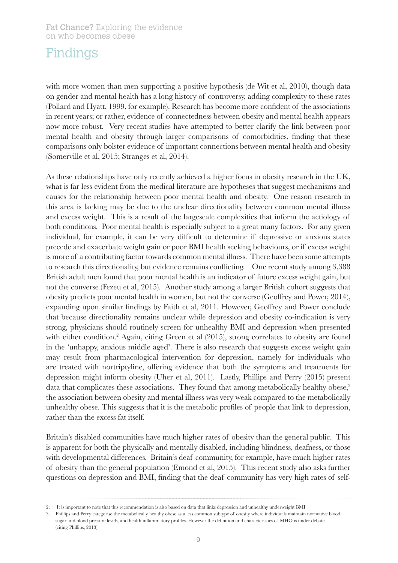with more women than men supporting a positive hypothesis (de Wit et al, 2010), though data on gender and mental health has a long history of controversy, adding complexity to these rates (Pollard and Hyatt, 1999, for example). Research has become more confident of the associations in recent years; or rather, evidence of connectedness between obesity and mental health appears now more robust. Very recent studies have attempted to better clarify the link between poor mental health and obesity through larger comparisons of comorbidities, finding that these comparisons only bolster evidence of important connections between mental health and obesity (Somerville et al, 2015; Stranges et al, 2014).

As these relationships have only recently achieved a higher focus in obesity research in the UK, what is far less evident from the medical literature are hypotheses that suggest mechanisms and causes for the relationship between poor mental health and obesity. One reason research in this area is lacking may be due to the unclear directionality between common mental illness and excess weight. This is a result of the largescale complexities that inform the aetiology of both conditions. Poor mental health is especially subject to a great many factors. For any given individual, for example, it can be very difficult to determine if depressive or anxious states precede and exacerbate weight gain or poor BMI health seeking behaviours, or if excess weight is more of a contributing factor towards common mental illness. There have been some attempts to research this directionality, but evidence remains conflicting. One recent study among 3,388 British adult men found that poor mental health is an indicator of future excess weight gain, but not the converse (Fezeu et al, 2015). Another study among a larger British cohort suggests that obesity predicts poor mental health in women, but not the converse (Geoffrey and Power, 2014), expanding upon similar findings by Faith et al, 2011. However, Geoffrey and Power conclude that because directionality remains unclear while depression and obesity co-indication is very strong, physicians should routinely screen for unhealthy BMI and depression when presented with either condition.<sup>2</sup> Again, citing Green et al (2015), strong correlates to obesity are found in the 'unhappy, anxious middle aged'. There is also research that suggests excess weight gain may result from pharmacological intervention for depression, namely for individuals who are treated with nortriptyline, offering evidence that both the symptoms and treatments for depression might inform obesity (Uher et al, 2011). Lastly, Phillips and Perry (2015) present data that complicates these associations. They found that among metabolically healthy obese,<sup>3</sup> the association between obesity and mental illness was very weak compared to the metabolically unhealthy obese. This suggests that it is the metabolic profiles of people that link to depression, rather than the excess fat itself.

Britain's disabled communities have much higher rates of obesity than the general public. This is apparent for both the physically and mentally disabled, including blindness, deafness, or those with developmental differences. Britain's deaf community, for example, have much higher rates of obesity than the general population (Emond et al, 2015). This recent study also asks further questions on depression and BMI, finding that the deaf community has very high rates of self-

<sup>2.</sup> It is important to note that this recommendation is also based on data that links depression and unhealthy underweight BMI.

<sup>3.</sup> Phillips and Perry categorise the metabolically healthy obese as a less common subtype of obesity where individuals maintain normative blood sugar and blood pressure levels, and health inflammatory profiles. However the definition and characteristics of MHO is under debate (citing Phillips, 2013).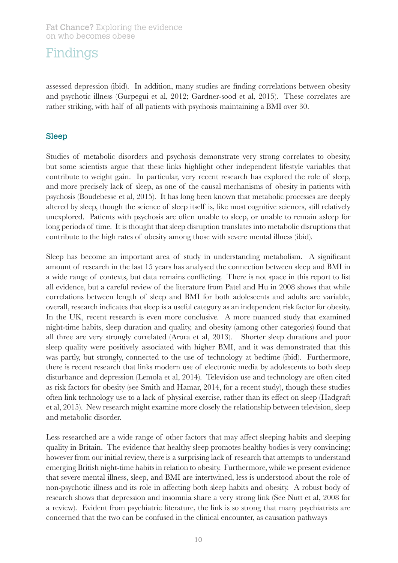assessed depression (ibid). In addition, many studies are finding correlations between obesity and psychotic illness (Gurpegui et al, 2012; Gardner-sood et al, 2015). These correlates are rather striking, with half of all patients with psychosis maintaining a BMI over 30.

#### Sleep

Studies of metabolic disorders and psychosis demonstrate very strong correlates to obesity, but some scientists argue that these links highlight other independent lifestyle variables that contribute to weight gain. In particular, very recent research has explored the role of sleep, and more precisely lack of sleep, as one of the causal mechanisms of obesity in patients with psychosis (Boudebesse et al, 2015). It has long been known that metabolic processes are deeply altered by sleep, though the science of sleep itself is, like most cognitive sciences, still relatively unexplored. Patients with psychosis are often unable to sleep, or unable to remain asleep for long periods of time. It is thought that sleep disruption translates into metabolic disruptions that contribute to the high rates of obesity among those with severe mental illness (ibid).

Sleep has become an important area of study in understanding metabolism. A significant amount of research in the last 15 years has analysed the connection between sleep and BMI in a wide range of contexts, but data remains conflicting. There is not space in this report to list all evidence, but a careful review of the literature from Patel and Hu in 2008 shows that while correlations between length of sleep and BMI for both adolescents and adults are variable, overall, research indicates that sleep is a useful category as an independent risk factor for obesity. In the UK, recent research is even more conclusive. A more nuanced study that examined night-time habits, sleep duration and quality, and obesity (among other categories) found that all three are very strongly correlated (Arora et al, 2013). Shorter sleep durations and poor sleep quality were positively associated with higher BMI, and it was demonstrated that this was partly, but strongly, connected to the use of technology at bedtime (ibid). Furthermore, there is recent research that links modern use of electronic media by adolescents to both sleep disturbance and depression (Lemola et al, 2014). Television use and technology are often cited as risk factors for obesity (see Smith and Hamar, 2014, for a recent study), though these studies often link technology use to a lack of physical exercise, rather than its effect on sleep (Hadgraft et al, 2015). New research might examine more closely the relationship between television, sleep and metabolic disorder.

Less researched are a wide range of other factors that may affect sleeping habits and sleeping quality in Britain. The evidence that healthy sleep promotes healthy bodies is very convincing; however from our initial review, there is a surprising lack of research that attempts to understand emerging British night-time habits in relation to obesity. Furthermore, while we present evidence that severe mental illness, sleep, and BMI are intertwined, less is understood about the role of non-psychotic illness and its role in affecting both sleep habits and obesity. A robust body of research shows that depression and insomnia share a very strong link (See Nutt et al, 2008 for a review). Evident from psychiatric literature, the link is so strong that many psychiatrists are concerned that the two can be confused in the clinical encounter, as causation pathways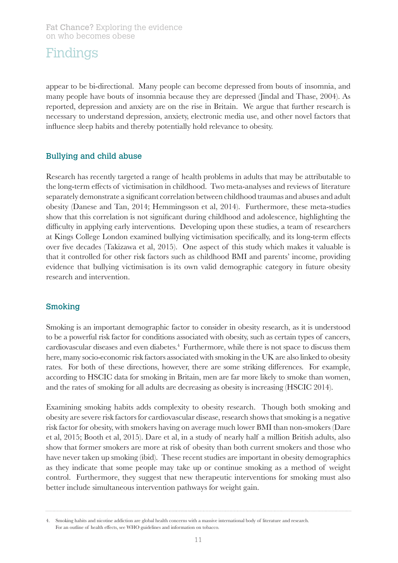appear to be bi-directional. Many people can become depressed from bouts of insomnia, and many people have bouts of insomnia because they are depressed (Jindal and Thase, 2004). As reported, depression and anxiety are on the rise in Britain. We argue that further research is necessary to understand depression, anxiety, electronic media use, and other novel factors that influence sleep habits and thereby potentially hold relevance to obesity.

#### Bullying and child abuse

Research has recently targeted a range of health problems in adults that may be attributable to the long-term effects of victimisation in childhood. Two meta-analyses and reviews of literature separately demonstrate a significant correlation between childhood traumas and abuses and adult obesity (Danese and Tan, 2014; Hemmingsson et al, 2014). Furthermore, these meta-studies show that this correlation is not significant during childhood and adolescence, highlighting the difficulty in applying early interventions. Developing upon these studies, a team of researchers at Kings College London examined bullying victimisation specifically, and its long-term effects over five decades (Takizawa et al, 2015). One aspect of this study which makes it valuable is that it controlled for other risk factors such as childhood BMI and parents' income, providing evidence that bullying victimisation is its own valid demographic category in future obesity research and intervention.

#### Smoking

Smoking is an important demographic factor to consider in obesity research, as it is understood to be a powerful risk factor for conditions associated with obesity, such as certain types of cancers, cardiovascular diseases and even diabetes.<sup>4</sup> Furthermore, while there is not space to discuss them here, many socio-economic risk factors associated with smoking in the UK are also linked to obesity rates. For both of these directions, however, there are some striking differences. For example, according to HSCIC data for smoking in Britain, men are far more likely to smoke than women, and the rates of smoking for all adults are decreasing as obesity is increasing (HSCIC 2014).

Examining smoking habits adds complexity to obesity research. Though both smoking and obesity are severe risk factors for cardiovascular disease, research shows that smoking is a negative risk factor for obesity, with smokers having on average much lower BMI than non-smokers (Dare et al, 2015; Booth et al, 2015). Dare et al, in a study of nearly half a million British adults, also show that former smokers are more at risk of obesity than both current smokers and those who have never taken up smoking (ibid). These recent studies are important in obesity demographics as they indicate that some people may take up or continue smoking as a method of weight control. Furthermore, they suggest that new therapeutic interventions for smoking must also better include simultaneous intervention pathways for weight gain.

<sup>4.</sup> Smoking habits and nicotine addiction are global health concerns with a massive international body of literature and research. For an outline of health effects, see WHO guidelines and information on tobacco.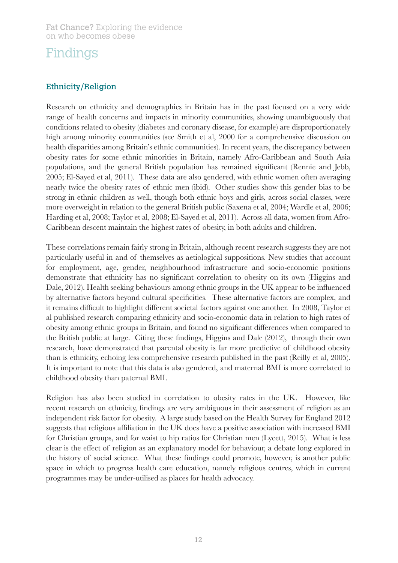#### Ethnicity/Religion

Research on ethnicity and demographics in Britain has in the past focused on a very wide range of health concerns and impacts in minority communities, showing unambiguously that conditions related to obesity (diabetes and coronary disease, for example) are disproportionately high among minority communities (see Smith et al, 2000 for a comprehensive discussion on health disparities among Britain's ethnic communities). In recent years, the discrepancy between obesity rates for some ethnic minorities in Britain, namely Afro-Caribbean and South Asia populations, and the general British population has remained significant (Rennie and Jebb, 2005; El-Sayed et al, 2011). These data are also gendered, with ethnic women often averaging nearly twice the obesity rates of ethnic men (ibid). Other studies show this gender bias to be strong in ethnic children as well, though both ethnic boys and girls, across social classes, were more overweight in relation to the general British public (Saxena et al, 2004; Wardle et al, 2006; Harding et al, 2008; Taylor et al, 2008; El-Sayed et al, 2011). Across all data, women from Afro-Caribbean descent maintain the highest rates of obesity, in both adults and children.

These correlations remain fairly strong in Britain, although recent research suggests they are not particularly useful in and of themselves as aetiological suppositions. New studies that account for employment, age, gender, neighbourhood infrastructure and socio-economic positions demonstrate that ethnicity has no significant correlation to obesity on its own (Higgins and Dale, 2012). Health seeking behaviours among ethnic groups in the UK appear to be influenced by alternative factors beyond cultural specificities. These alternative factors are complex, and it remains difficult to highlight different societal factors against one another. In 2008, Taylor et al published research comparing ethnicity and socio-economic data in relation to high rates of obesity among ethnic groups in Britain, and found no significant differences when compared to the British public at large. Citing these findings, Higgins and Dale (2012), through their own research, have demonstrated that parental obesity is far more predictive of childhood obesity than is ethnicity, echoing less comprehensive research published in the past (Reilly et al, 2005). It is important to note that this data is also gendered, and maternal BMI is more correlated to childhood obesity than paternal BMI.

Religion has also been studied in correlation to obesity rates in the UK. However, like recent research on ethnicity, findings are very ambiguous in their assessment of religion as an independent risk factor for obesity. A large study based on the Health Survey for England 2012 suggests that religious affiliation in the UK does have a positive association with increased BMI for Christian groups, and for waist to hip ratios for Christian men (Lycett, 2015). What is less clear is the effect of religion as an explanatory model for behaviour, a debate long explored in the history of social science. What these findings could promote, however, is another public space in which to progress health care education, namely religious centres, which in current programmes may be under-utilised as places for health advocacy.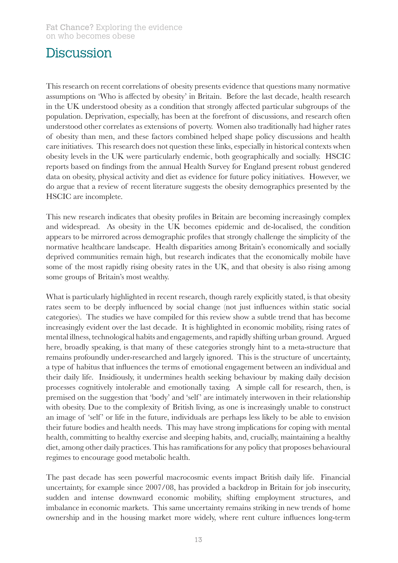### **Discussion**

This research on recent correlations of obesity presents evidence that questions many normative assumptions on 'Who is affected by obesity' in Britain. Before the last decade, health research in the UK understood obesity as a condition that strongly affected particular subgroups of the population. Deprivation, especially, has been at the forefront of discussions, and research often understood other correlates as extensions of poverty. Women also traditionally had higher rates of obesity than men, and these factors combined helped shape policy discussions and health care initiatives. This research does not question these links, especially in historical contexts when obesity levels in the UK were particularly endemic, both geographically and socially. HSCIC reports based on findings from the annual Health Survey for England present robust gendered data on obesity, physical activity and diet as evidence for future policy initiatives. However, we do argue that a review of recent literature suggests the obesity demographics presented by the HSCIC are incomplete.

This new research indicates that obesity profiles in Britain are becoming increasingly complex and widespread. As obesity in the UK becomes epidemic and de-localised, the condition appears to be mirrored across demographic profiles that strongly challenge the simplicity of the normative healthcare landscape. Health disparities among Britain's economically and socially deprived communities remain high, but research indicates that the economically mobile have some of the most rapidly rising obesity rates in the UK, and that obesity is also rising among some groups of Britain's most wealthy.

What is particularly highlighted in recent research, though rarely explicitly stated, is that obesity rates seem to be deeply influenced by social change (not just influences within static social categories). The studies we have compiled for this review show a subtle trend that has become increasingly evident over the last decade. It is highlighted in economic mobility, rising rates of mental illness, technological habits and engagements, and rapidly shifting urban ground. Argued here, broadly speaking, is that many of these categories strongly hint to a meta-structure that remains profoundly under-researched and largely ignored. This is the structure of uncertainty, a type of habitus that influences the terms of emotional engagement between an individual and their daily life. Insidiously, it undermines health seeking behaviour by making daily decision processes cognitively intolerable and emotionally taxing. A simple call for research, then, is premised on the suggestion that 'body' and 'self' are intimately interwoven in their relationship with obesity. Due to the complexity of British living, as one is increasingly unable to construct an image of 'self' or life in the future, individuals are perhaps less likely to be able to envision their future bodies and health needs. This may have strong implications for coping with mental health, committing to healthy exercise and sleeping habits, and, crucially, maintaining a healthy diet, among other daily practices. This has ramifications for any policy that proposes behavioural regimes to encourage good metabolic health.

The past decade has seen powerful macrocosmic events impact British daily life. Financial uncertainty, for example since 2007/08, has provided a backdrop in Britain for job insecurity, sudden and intense downward economic mobility, shifting employment structures, and imbalance in economic markets. This same uncertainty remains striking in new trends of home ownership and in the housing market more widely, where rent culture influences long-term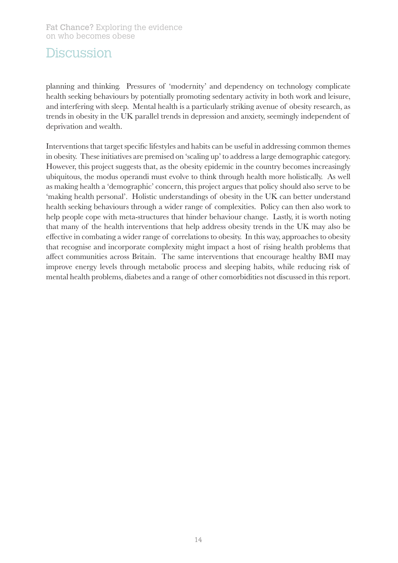### **Discussion**

planning and thinking. Pressures of 'modernity' and dependency on technology complicate health seeking behaviours by potentially promoting sedentary activity in both work and leisure, and interfering with sleep. Mental health is a particularly striking avenue of obesity research, as trends in obesity in the UK parallel trends in depression and anxiety, seemingly independent of deprivation and wealth.

Interventions that target specific lifestyles and habits can be useful in addressing common themes in obesity. These initiatives are premised on 'scaling up' to address a large demographic category. However, this project suggests that, as the obesity epidemic in the country becomes increasingly ubiquitous, the modus operandi must evolve to think through health more holistically. As well as making health a 'demographic' concern, this project argues that policy should also serve to be 'making health personal'. Holistic understandings of obesity in the UK can better understand health seeking behaviours through a wider range of complexities. Policy can then also work to help people cope with meta-structures that hinder behaviour change. Lastly, it is worth noting that many of the health interventions that help address obesity trends in the UK may also be effective in combating a wider range of correlations to obesity. In this way, approaches to obesity that recognise and incorporate complexity might impact a host of rising health problems that affect communities across Britain. The same interventions that encourage healthy BMI may improve energy levels through metabolic process and sleeping habits, while reducing risk of mental health problems, diabetes and a range of other comorbidities not discussed in this report.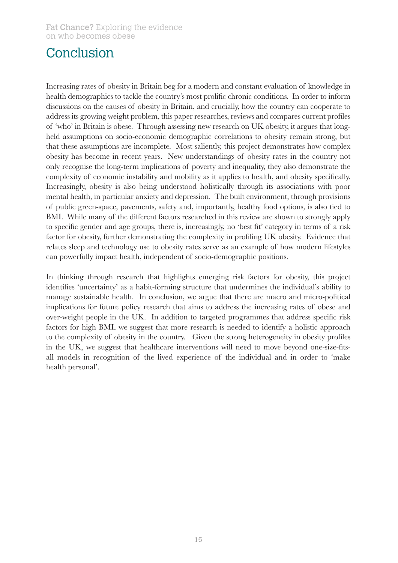## Conclusion

Increasing rates of obesity in Britain beg for a modern and constant evaluation of knowledge in health demographics to tackle the country's most prolific chronic conditions. In order to inform discussions on the causes of obesity in Britain, and crucially, how the country can cooperate to address its growing weight problem, this paper researches, reviews and compares current profiles of 'who' in Britain is obese. Through assessing new research on UK obesity, it argues that longheld assumptions on socio-economic demographic correlations to obesity remain strong, but that these assumptions are incomplete. Most saliently, this project demonstrates how complex obesity has become in recent years. New understandings of obesity rates in the country not only recognise the long-term implications of poverty and inequality, they also demonstrate the complexity of economic instability and mobility as it applies to health, and obesity specifically. Increasingly, obesity is also being understood holistically through its associations with poor mental health, in particular anxiety and depression. The built environment, through provisions of public green-space, pavements, safety and, importantly, healthy food options, is also tied to BMI. While many of the different factors researched in this review are shown to strongly apply to specific gender and age groups, there is, increasingly, no 'best fit' category in terms of a risk factor for obesity, further demonstrating the complexity in profiling UK obesity. Evidence that relates sleep and technology use to obesity rates serve as an example of how modern lifestyles can powerfully impact health, independent of socio-demographic positions.

In thinking through research that highlights emerging risk factors for obesity, this project identifies 'uncertainty' as a habit-forming structure that undermines the individual's ability to manage sustainable health. In conclusion, we argue that there are macro and micro-political implications for future policy research that aims to address the increasing rates of obese and over-weight people in the UK. In addition to targeted programmes that address specific risk factors for high BMI, we suggest that more research is needed to identify a holistic approach to the complexity of obesity in the country. Given the strong heterogeneity in obesity profiles in the UK, we suggest that healthcare interventions will need to move beyond one-size-fitsall models in recognition of the lived experience of the individual and in order to 'make health personal'.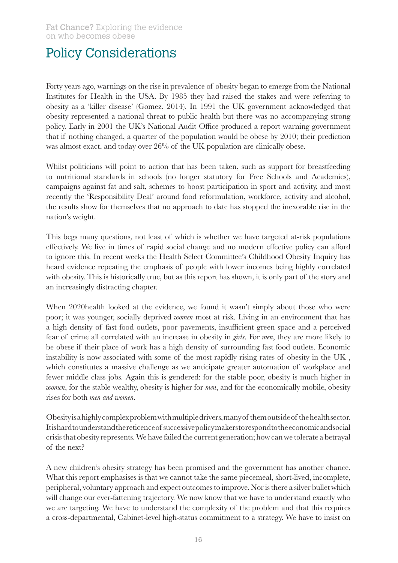## Policy Considerations

Forty years ago, warnings on the rise in prevalence of obesity began to emerge from the National Institutes for Health in the USA. By 1985 they had raised the stakes and were referring to obesity as a 'killer disease' (Gomez, 2014). In 1991 the UK government acknowledged that obesity represented a national threat to public health but there was no accompanying strong policy. Early in 2001 the UK's National Audit Office produced a report warning government that if nothing changed, a quarter of the population would be obese by 2010; their prediction was almost exact, and today over 26% of the UK population are clinically obese.

Whilst politicians will point to action that has been taken, such as support for breastfeeding to nutritional standards in schools (no longer statutory for Free Schools and Academies), campaigns against fat and salt, schemes to boost participation in sport and activity, and most recently the 'Responsibility Deal' around food reformulation, workforce, activity and alcohol, the results show for themselves that no approach to date has stopped the inexorable rise in the nation's weight.

This begs many questions, not least of which is whether we have targeted at-risk populations effectively. We live in times of rapid social change and no modern effective policy can afford to ignore this. In recent weeks the Health Select Committee's Childhood Obesity Inquiry has heard evidence repeating the emphasis of people with lower incomes being highly correlated with obesity. This is historically true, but as this report has shown, it is only part of the story and an increasingly distracting chapter.

When 2020health looked at the evidence, we found it wasn't simply about those who were poor; it was younger, socially deprived *women* most at risk. Living in an environment that has a high density of fast food outlets, poor pavements, insufficient green space and a perceived fear of crime all correlated with an increase in obesity in *girls*. For *men*, they are more likely to be obese if their place of work has a high density of surrounding fast food outlets. Economic instability is now associated with some of the most rapidly rising rates of obesity in the UK , which constitutes a massive challenge as we anticipate greater automation of workplace and fewer middle class jobs. Again this is gendered: for the stable poor, obesity is much higher in *women*, for the stable wealthy, obesity is higher for *men*, and for the economically mobile, obesity rises for both *men and women*.

Obesity is a highly complex problem with multiple drivers, many of them outside of the health sector. It is hard to understand the reticence of successive policy makers to respond to the economic and social crisis that obesity represents. We have failed the current generation; how can we tolerate a betrayal of the next?

A new children's obesity strategy has been promised and the government has another chance. What this report emphasises is that we cannot take the same piecemeal, short-lived, incomplete, peripheral, voluntary approach and expect outcomes to improve. Nor is there a silver bullet which will change our ever-fattening trajectory. We now know that we have to understand exactly who we are targeting. We have to understand the complexity of the problem and that this requires a cross-departmental, Cabinet-level high-status commitment to a strategy. We have to insist on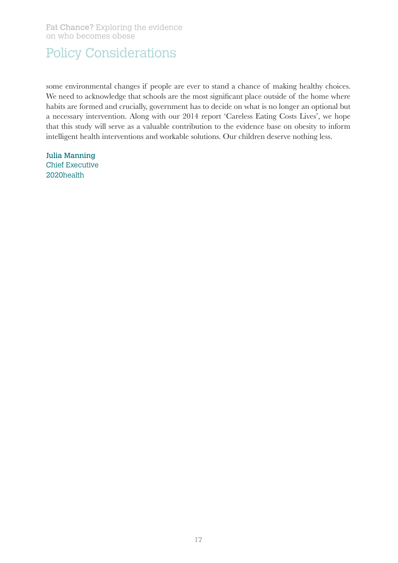## Policy Considerations

some environmental changes if people are ever to stand a chance of making healthy choices. We need to acknowledge that schools are the most significant place outside of the home where habits are formed and crucially, government has to decide on what is no longer an optional but a necessary intervention. Along with our 2014 report 'Careless Eating Costs Lives', we hope that this study will serve as a valuable contribution to the evidence base on obesity to inform intelligent health interventions and workable solutions. Our children deserve nothing less.

Julia Manning Chief Executive 2020health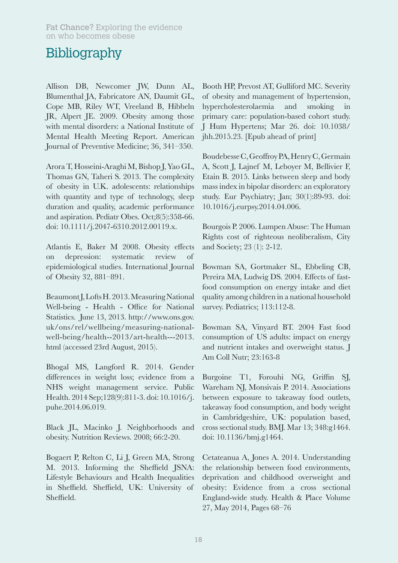Allison DB, Newcomer JW, Dunn AL, Blumenthal JA, Fabricatore AN, Daumit GL, Cope MB, Riley WT, Vreeland B, Hibbeln JR, Alpert JE. 2009. Obesity among those with mental disorders: a National Institute of Mental Health Meeting Report. American Journal of Preventive Medicine; 36, 341–350.

Arora T, Hosseini-Araghi M, Bishop J, Yao GL, Thomas GN, Taheri S. 2013. The complexity of obesity in U.K. adolescents: relationships with quantity and type of technology, sleep duration and quality, academic performance and aspiration. Pediatr Obes. Oct;8(5):358-66. doi: 10.1111/j.2047-6310.2012.00119.x.

Atlantis E, Baker M 2008. Obesity effects on depression: systematic review of epidemiological studies. International Journal of Obesity 32, 881–891.

Beaumont J, Lofts H. 2013. Measuring National Well-being - Health - Office for National Statistics. June 13, 2013. http://www.ons.gov. uk/ons/rel/wellbeing/measuring-nationalwell-being/health--2013/art-health---2013. html (accessed 23rd August, 2015).

Bhogal MS, Langford R. 2014. Gender differences in weight loss; evidence from a NHS weight management service. Public Health. 2014 Sep;128(9):811-3. doi: 10.1016/j. puhe.2014.06.019.

Black JL, Macinko J. Neighborhoods and obesity. Nutrition Reviews. 2008; 66:2-20.

Bogaert P, Relton C, Li J, Green MA, Strong M. 2013. Informing the Sheffield JSNA: Lifestyle Behaviours and Health Inequalities in Sheffield. Sheffield, UK: University of Sheffield.

Booth HP, Prevost AT, Gulliford MC. Severity of obesity and management of hypertension, hypercholesterolaemia and smoking primary care: population-based cohort study. J Hum Hypertens; Mar 26. doi: 10.1038/ jhh.2015.23. [Epub ahead of print]

Boudebesse C, Geoffroy PA, Henry C, Germain A, Scott J, Lajnef M, Leboyer M, Bellivier F, Etain B. 2015. Links between sleep and body mass index in bipolar disorders: an exploratory study. Eur Psychiatry; Jan; 30(1):89-93. doi: 10.1016/j.eurpsy.2014.04.006.

Bourgois P. 2006. Lumpen Abuse: The Human Rights cost of righteous neoliberalism, City and Society; 23 (1): 2-12.

Bowman SA, Gortmaker SL, Ebbeling CB, Pereira MA, Ludwig DS. 2004. Effects of fastfood consumption on energy intake and diet quality among children in a national household survey. Pediatrics; 113:112-8.

Bowman SA, Vinyard BT. 2004 Fast food consumption of US adults: impact on energy and nutrient intakes and overweight status. J Am Coll Nutr; 23:163-8

Burgoine T1, Forouhi NG, Griffin SJ, Wareham NJ, Monsivais P. 2014. Associations between exposure to takeaway food outlets, takeaway food consumption, and body weight in Cambridgeshire, UK: population based, cross sectional study. BMJ. Mar 13; 348:g1464. doi: 10.1136/bmj.g1464.

Cetateanua A, Jones A. 2014. Understanding the relationship between food environments, deprivation and childhood overweight and obesity: Evidence from a cross sectional England-wide study. Health & Place Volume 27, May 2014, Pages 68–76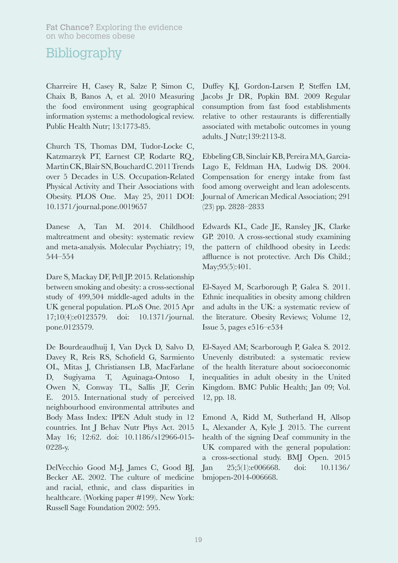Charreire H, Casey R, Salze P, Simon C, Chaix B, Banos A, et al. 2010 Measuring the food environment using geographical information systems: a methodological review. Public Health Nutr; 13:1773-85.

Church TS, Thomas DM, Tudor-Locke C, Katzmarzyk PT, Earnest CP, Rodarte RQ, Martin CK, Blair SN, Bouchard C. 2011 Trends over 5 Decades in U.S. Occupation-Related Physical Activity and Their Associations with Obesity. PLOS One. May 25, 2011 DOI: 10.1371/journal.pone.0019657

Danese A, Tan M. 2014. Childhood maltreatment and obesity: systematic review and meta-analysis. Molecular Psychiatry; 19, 544–554

Dare S, Mackay DF, Pell JP. 2015. Relationship between smoking and obesity: a cross-sectional study of 499,504 middle-aged adults in the UK general population. PLoS One. 2015 Apr 17;10(4):e0123579. doi: 10.1371/journal. pone.0123579.

De Bourdeaudhuij I, Van Dyck D, Salvo D, Davey R, Reis RS, Schofield G, Sarmiento OL, Mitas J, Christiansen LB, MacFarlane D, Sugiyama T, Aguinaga-Ontoso I, Owen N, Conway TL, Sallis JF, Cerin E. 2015. International study of perceived neighbourhood environmental attributes and Body Mass Index: IPEN Adult study in 12 countries. Int J Behav Nutr Phys Act. 2015 May 16; 12:62. doi: 10.1186/s12966-015- 0228-y.

DelVecchio Good M-J, James C, Good BJ, Becker AE. 2002. The culture of medicine and racial, ethnic, and class disparities in healthcare. (Working paper #199). New York: Russell Sage Foundation 2002: 595.

Duffey KJ, Gordon-Larsen P, Steffen LM, Jacobs Jr DR, Popkin BM. 2009 Regular consumption from fast food establishments relative to other restaurants is differentially associated with metabolic outcomes in young adults. J Nutr;139:2113-8.

Ebbeling CB, Sinclair KB, Pereira MA, Garcia-Lago E, Feldman HA, Ludwig DS. 2004. Compensation for energy intake from fast food among overweight and lean adolescents. Journal of American Medical Association; 291 (23) pp. 2828–2833

Edwards KL, Cade JE, Ransley JK, Clarke GP. 2010. A cross-sectional study examining the pattern of childhood obesity in Leeds: affluence is not protective. Arch Dis Child.; May;95(5):401.

El-Sayed M, Scarborough P, Galea S. 2011. Ethnic inequalities in obesity among children and adults in the UK: a systematic review of the literature. Obesity Reviews; Volume 12, Issue 5, pages e516–e534

El-Sayed AM; Scarborough P, Galea S. 2012. Unevenly distributed: a systematic review of the health literature about socioeconomic inequalities in adult obesity in the United Kingdom. BMC Public Health; Jan 09; Vol. 12, pp. 18.

Emond A, Ridd M, Sutherland H, Allsop L, Alexander A, Kyle J. 2015. The current health of the signing Deaf community in the UK compared with the general population: a cross-sectional study. BMJ Open. 2015 Jan 25;5(1):e006668. doi: 10.1136/ bmjopen-2014-006668.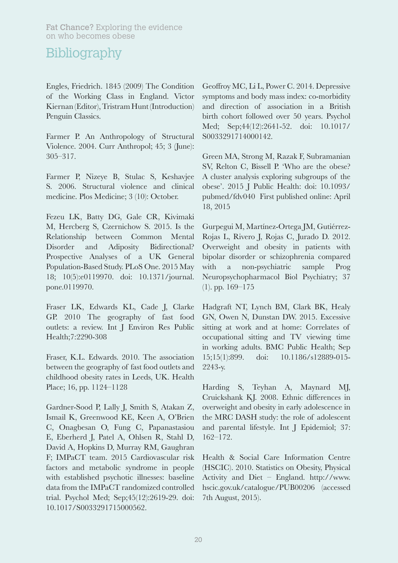Engles, Friedrich. 1845 (2009) The Condition of the Working Class in England. Victor Kiernan (Editor), Tristram Hunt (Introduction) Penguin Classics.

Farmer P. An Anthropology of Structural Violence. 2004. Curr Anthropol; 45; 3 (June): 305–317.

Farmer P, Nizeye B, Stulac S, Keshavjee S. 2006. Structural violence and clinical medicine. Plos Medicine; 3 (10): October.

Fezeu LK, Batty DG, Gale CR, Kivimaki M, Hercberg S, Czernichow S. 2015. Is the Relationship between Common Mental Disorder and Adiposity Bidirectional? Prospective Analyses of a UK General Population-Based Study. PLoS One. 2015 May 18; 10(5):e0119970. doi: 10.1371/journal. pone.0119970.

Fraser LK, Edwards KL, Cade J, Clarke GP. 2010 The geography of fast food outlets: a review. Int J Environ Res Public Health;7:2290-308

Fraser, K.L. Edwards. 2010. The association between the geography of fast food outlets and childhood obesity rates in Leeds, UK. Health Place; 16, pp. 1124–1128

Gardner-Sood P, Lally J, Smith S, Atakan Z, Ismail K, Greenwood KE, Keen A, O'Brien C, Onagbesan O, Fung C, Papanastasiou E, Eberherd J, Patel A, Ohlsen R, Stahl D, David A, Hopkins D, Murray RM, Gaughran F; IMPaCT team. 2015 Cardiovascular risk factors and metabolic syndrome in people with established psychotic illnesses: baseline data from the IMPaCT randomized controlled trial. Psychol Med; Sep;45(12):2619-29. doi: 10.1017/S0033291715000562.

Geoffroy MC, Li L, Power C. 2014. Depressive symptoms and body mass index: co-morbidity and direction of association in a British birth cohort followed over 50 years. Psychol Med; Sep;44(12):2641-52. doi: 10.1017/ S0033291714000142.

Green MA, Strong M, Razak F, Subramanian SV, Relton C, Bissell P. 'Who are the obese? A cluster analysis exploring subgroups of the obese'. 2015 J Public Health: doi: 10.1093/ pubmed/fdv040 First published online: April 18, 2015

Gurpegui M, Martínez-Ortega JM, Gutiérrez-Rojas L, Rivero J, Rojas C, Jurado D. 2012. Overweight and obesity in patients with bipolar disorder or schizophrenia compared with a non-psychiatric sample Prog Neuropsychopharmacol Biol Psychiatry; 37 (1). pp. 169–175

Hadgraft NT, Lynch BM, Clark BK, Healy GN, Owen N, Dunstan DW. 2015. Excessive sitting at work and at home: Correlates of occupational sitting and TV viewing time in working adults. BMC Public Health; Sep 15;15(1):899. doi: 10.1186/s12889-015- 2243-y.

Harding S, Teyhan A, Maynard MJ, Cruickshank KJ. 2008. Ethnic differences in overweight and obesity in early adolescence in the MRC DASH study: the role of adolescent and parental lifestyle. Int J Epidemiol; 37: 162–172.

Health & Social Care Information Centre (HSCIC). 2010. Statistics on Obesity, Physical Activity and Diet – England. http://www. hscic.gov.uk/catalogue/PUB00206 (accessed 7th August, 2015).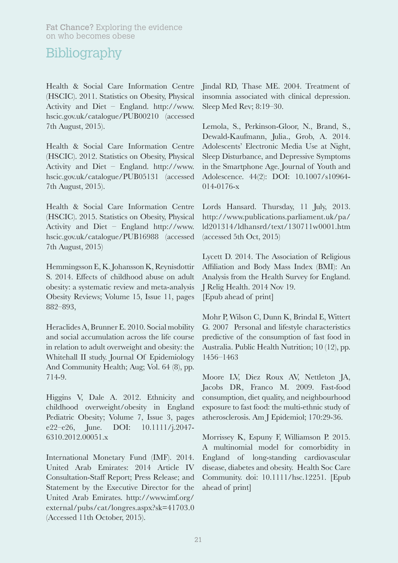Health & Social Care Information Centre (HSCIC). 2011. Statistics on Obesity, Physical Activity and Diet – England. http://www. hscic.gov.uk/catalogue/PUB00210 (accessed 7th August, 2015).

Health & Social Care Information Centre (HSCIC). 2012. Statistics on Obesity, Physical Activity and Diet – England. http://www. hscic.gov.uk/catalogue/PUB05131 (accessed 7th August, 2015).

Health & Social Care Information Centre (HSCIC). 2015. Statistics on Obesity, Physical Activity and Diet – England http://www. hscic.gov.uk/catalogue/PUB16988 (accessed 7th August, 2015)

Hemmingsson E, K. Johansson K, Reynisdottir S. 2014. Effects of childhood abuse on adult obesity: a systematic review and meta-analysis Obesity Reviews; Volume 15, Issue 11, pages 882–893,

Heraclides A, Brunner E. 2010. Social mobility and social accumulation across the life course in relation to adult overweight and obesity: the Whitehall II study. Journal Of Epidemiology And Community Health; Aug; Vol. 64 (8), pp. 714-9.

Higgins V, Dale A. 2012. Ethnicity and childhood overweight/obesity in England Pediatric Obesity; Volume 7, Issue 3, pages e22–e26, June. DOI: 10.1111/j.2047- 6310.2012.00051.x

International Monetary Fund (IMF). 2014. United Arab Emirates: 2014 Article IV Consultation-Staff Report; Press Release; and Statement by the Executive Director for the United Arab Emirates. http://www.imf.org/ external/pubs/cat/longres.aspx?sk=41703.0 (Accessed 11th October, 2015).

Jindal RD, Thase ME. 2004. Treatment of insomnia associated with clinical depression. Sleep Med Rev; 8:19–30.

Lemola, S., Perkinson-Gloor, N., Brand, S., Dewald-Kaufmann, Julia., Grob, A. 2014. Adolescents' Electronic Media Use at Night, Sleep Disturbance, and Depressive Symptoms in the Smartphone Age. Journal of Youth and Adolescence. 44(2): DOI: 10.1007/s10964- 014-0176-x

Lords Hansard. Thursday, 11 July, 2013. http://www.publications.parliament.uk/pa/ ld201314/ldhansrd/text/130711w0001.htm (accessed 5th Oct, 2015)

Lycett D. 2014. The Association of Religious Affiliation and Body Mass Index (BMI): An Analysis from the Health Survey for England. J Relig Health. 2014 Nov 19. [Epub ahead of print]

Mohr P, Wilson C, Dunn K, Brindal E, Wittert G. 2007 Personal and lifestyle characteristics predictive of the consumption of fast food in Australia. Public Health Nutrition; 10 (12), pp. 1456–1463

Moore LV, Diez Roux AV, Nettleton JA, Jacobs DR, Franco M. 2009. Fast-food consumption, diet quality, and neighbourhood exposure to fast food: the multi-ethnic study of atherosclerosis. Am J Epidemiol; 170:29-36.

Morrissey K, Espuny F, Williamson P. 2015. A multinomial model for comorbidity in England of long-standing cardiovascular disease, diabetes and obesity. Health Soc Care Community. doi: 10.1111/hsc.12251. [Epub ahead of print]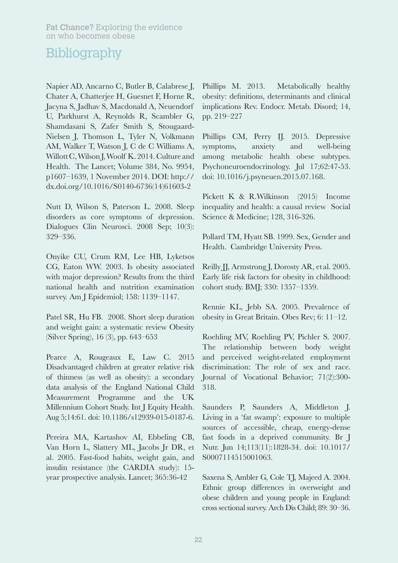Napier AD, Ancarno C, Butler B, Calabrese J, Chater A, Chatterjee H, Guesnet F, Horne R, Jacyna S, Jadhav S, Macdonald A, Neuendorf U, Parkhurst A, Reynolds R, Scambler G, Shamdasani S, Zafer Smith S, Stougaard-Nielsen J, Thomson L, Tyler N, Volkmann AM, Walker T, Watson J, C de C Williams A, Willott C, Wilson J, Woolf K. 2014. Culture and Health. The Lancet; Volume 384, No. 9954, p1607–1639, 1 November 2014. DOI: http:// dx.doi.org/10.1016/S0140-6736(14)61603-2

Nutt D, Wilson S, Paterson L. 2008. Sleep disorders as core symptoms of depression. Dialogues Clin Neurosci. 2008 Sep; 10(3): 329–336.

Onyike CU, Crum RM, Lee HB, Lyketsos CG, Eaton WW. 2003. Is obesity associated with major depression? Results from the third national health and nutrition examination survey. Am J Epidemiol; 158: 1139–1147.

Patel SR, Hu FB. 2008. Short sleep duration and weight gain: a systematic review Obesity (Silver Spring), 16 (3), pp. 643–653

Pearce A, Rougeaux E, Law C. 2015 Disadvantaged children at greater relative risk of thinness (as well as obesity): a secondary data analysis of the England National Child Measurement Programme and the UK Millennium Cohort Study. Int J Equity Health. Aug 5;14:61. doi: 10.1186/s12939-015-0187-6.

Pereira MA, Kartashov AI, Ebbeling CB, Van Horn L, Slattery ML, Jacobs Jr DR, et al. 2005. Fast-food habits, weight gain, and insulin resistance (the CARDIA study): 15 year prospective analysis. Lancet; 365:36-42

Phillips M. 2013. Metabolically healthy obesity: definitions, determinants and clinical implications Rev. Endocr. Metab. Disord; 14, pp. 219–227

Phillips CM, Perry II. 2015. Depressive symptoms, anxiety and well-being among metabolic health obese subtypes. Psychoneuroendocrinology. Jul 17;62:47-53. doi: 10.1016/j.psyneuen.2015.07.168.

Pickett K & R.Wilkinson (2015) Income inequality and health: a causal review Social Science & Medicine; 128, 316-326.

Pollard TM, Hyatt SB. 1999. Sex, Gender and Health. Cambridge University Press.

Reilly JJ, Armstrong J, Dorosty AR, et al. 2005. Early life risk factors for obesity in childhood: cohort study. BMJ; 330: 1357–1359.

Rennie KL, Jebb SA. 2005. Prevalence of obesity in Great Britain. Obes Rev; 6: 11–12.

Roehling MV, Roehling PV, Pichler S. 2007. The relationship between body weight and perceived weight-related employment discrimination: The role of sex and race. Journal of Vocational Behavior; 71(2):300- 318.

Saunders P, Saunders A, Middleton J. Living in a 'fat swamp': exposure to multiple sources of accessible, cheap, energy-dense fast foods in a deprived community. Br J Nutr. Jun 14;113(11):1828-34. doi: 10.1017/ S0007114515001063.

Saxena S, Ambler G, Cole TJ, Majeed A. 2004. Ethnic group differences in overweight and obese children and young people in England: cross sectional survey. Arch Dis Child; 89: 30–36.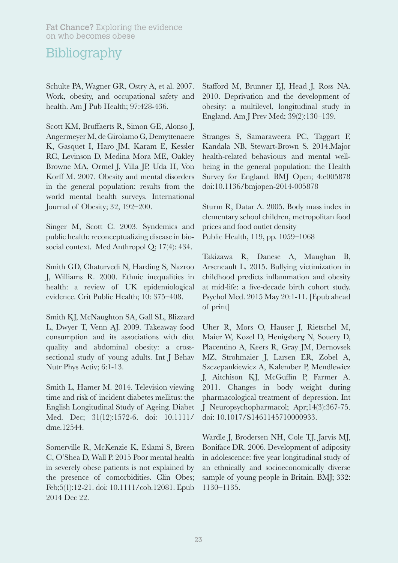Schulte PA, Wagner GR, Ostry A, et al. 2007. Work, obesity, and occupational safety and health. Am J Pub Health; 97:428-436.

Scott KM, Bruffaerts R, Simon GE, Alonso J, Angermeyer M, de Girolamo G, Demyttenaere K, Gasquet I, Haro JM, Karam E, Kessler RC, Levinson D, Medina Mora ME, Oakley Browne MA, Ormel J, Villa JP, Uda H, Von Korff M. 2007. Obesity and mental disorders in the general population: results from the world mental health surveys. International Journal of Obesity; 32, 192–200.

Singer M, Scott C. 2003. Syndemics and public health: reconceptualizing disease in biosocial context. Med Anthropol Q; 17(4): 434.

Smith GD, Chaturvedi N, Harding S, Nazroo J, Williams R. 2000. Ethnic inequalities in health: a review of UK epidemiological evidence. Crit Public Health; 10: 375–408.

Smith KJ, McNaughton SA, Gall SL, Blizzard L, Dwyer T, Venn AJ. 2009. Takeaway food consumption and its associations with diet quality and abdominal obesity: a crosssectional study of young adults. Int J Behav Nutr Phys Activ; 6:1-13.

Smith L, Hamer M. 2014. Television viewing time and risk of incident diabetes mellitus: the English Longitudinal Study of Ageing. Diabet Med. Dec; 31(12):1572-6. doi: 10.1111/ dme.12544.

Somerville R, McKenzie K, Eslami S, Breen C, O'Shea D, Wall P. 2015 Poor mental health in severely obese patients is not explained by the presence of comorbidities. Clin Obes; Feb;5(1):12-21. doi: 10.1111/cob.12081. Epub 2014 Dec 22.

Stafford M, Brunner EJ, Head J, Ross NA. 2010. Deprivation and the development of obesity: a multilevel, longitudinal study in England. Am J Prev Med; 39(2):130–139.

Stranges S, Samaraweera PC, Taggart F, Kandala NB, Stewart-Brown S. 2014.Major health-related behaviours and mental wellbeing in the general population: the Health Survey for England. BMJ Open; 4:e005878 doi:10.1136/bmjopen-2014-005878

Sturm R, Datar A. 2005. Body mass index in elementary school children, metropolitan food prices and food outlet density Public Health, 119, pp. 1059–1068

Takizawa R, Danese A, Maughan B, Arseneault L. 2015. Bullying victimization in childhood predicts inflammation and obesity at mid-life: a five-decade birth cohort study. Psychol Med. 2015 May 20:1-11. [Epub ahead of print]

Uher R, Mors O, Hauser J, Rietschel M, Maier W, Kozel D, Henigsberg N, Souery D, Placentino A, Keers R, Gray JM, Dernovsek MZ, Strohmaier J, Larsen ER, Zobel A, Szczepankiewicz A, Kalember P, Mendlewicz J, Aitchison KJ, McGuffin P, Farmer A. 2011. Changes in body weight during pharmacological treatment of depression. Int J Neuropsychopharmacol; Apr;14(3):367-75. doi: 10.1017/S1461145710000933.

Wardle J, Brodersen NH, Cole TJ, Jarvis MJ, Boniface DR. 2006. Development of adiposity in adolescence: five year longitudinal study of an ethnically and socioeconomically diverse sample of young people in Britain. BMJ; 332: 1130–1135.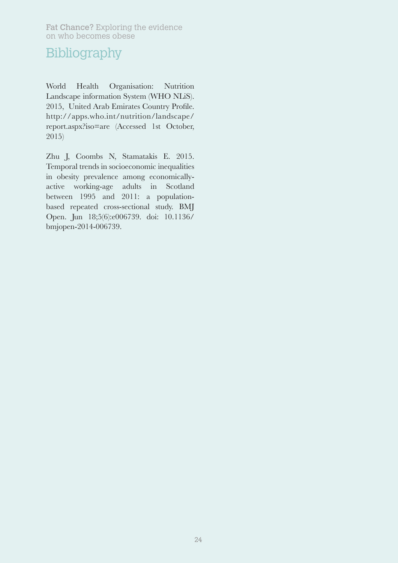World Health Organisation: Nutrition Landscape information System (WHO NLiS). 2015, United Arab Emirates Country Profile. http://apps.who.int/nutrition/landscape/ report.aspx?iso=are (Accessed 1st October, 2015)

Zhu J, Coombs N, Stamatakis E. 2015. Temporal trends in socioeconomic inequalities in obesity prevalence among economicallyactive working-age adults in Scotland between 1995 and 2011: a populationbased repeated cross-sectional study. BMJ Open. Jun 18;5(6):e006739. doi: 10.1136/ bmjopen-2014-006739.